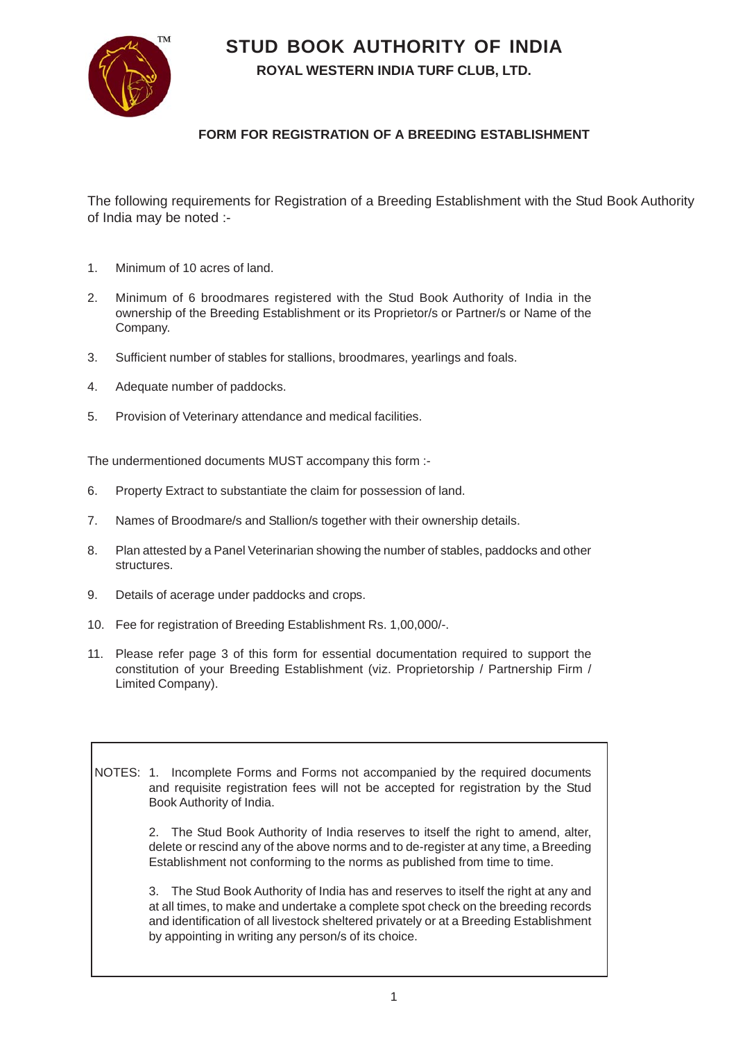**STUD BOOK AUTHORITY OF INDIA**



**ROYAL WESTERN INDIA TURF CLUB, LTD.**

## **FORM FOR REGISTRATION OF A BREEDING ESTABLISHMENT**

The following requirements for Registration of a Breeding Establishment with the Stud Book Authority of India may be noted :-

- 1. Minimum of 10 acres of land.
- 2. Minimum of 6 broodmares registered with the Stud Book Authority of India in the ownership of the Breeding Establishment or its Proprietor/s or Partner/s or Name of the Company.
- 3. Sufficient number of stables for stallions, broodmares, yearlings and foals.
- 4. Adequate number of paddocks.
- 5. Provision of Veterinary attendance and medical facilities.

The undermentioned documents MUST accompany this form :-

- 6. Property Extract to substantiate the claim for possession of land.
- 7. Names of Broodmare/s and Stallion/s together with their ownership details.
- 8. Plan attested by a Panel Veterinarian showing the number of stables, paddocks and other structures.
- 9. Details of acerage under paddocks and crops.
- 10. Fee for registration of Breeding Establishment Rs. 1,00,000/-.
- 11. Please refer page 3 of this form for essential documentation required to support the constitution of your Breeding Establishment (viz. Proprietorship / Partnership Firm / Limited Company).

NOTES: 1. Incomplete Forms and Forms not accompanied by the required documents and requisite registration fees will not be accepted for registration by the Stud Book Authority of India.

> 2. The Stud Book Authority of India reserves to itself the right to amend, alter, delete or rescind any of the above norms and to de-register at any time, a Breeding Establishment not conforming to the norms as published from time to time.

> 3. The Stud Book Authority of India has and reserves to itself the right at any and at all times, to make and undertake a complete spot check on the breeding records and identification of all livestock sheltered privately or at a Breeding Establishment by appointing in writing any person/s of its choice.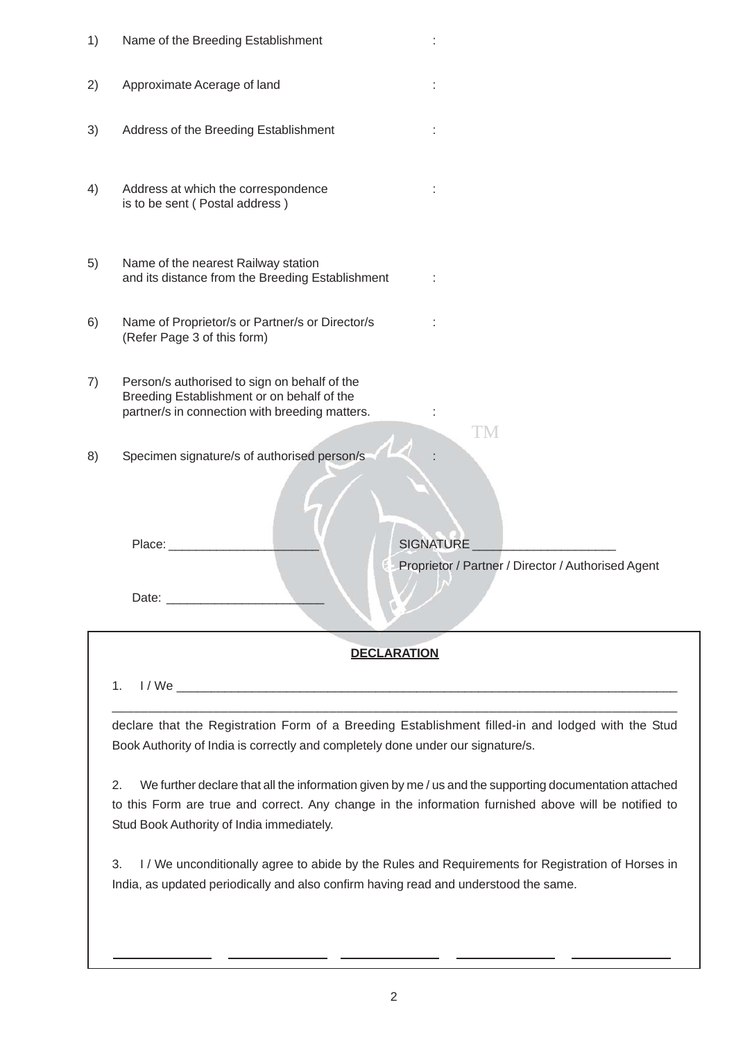| 1)                 | Name of the Breeding Establishment                                                                                                                                                                                                                                                                                                                                                                                                                                                                                                                                                                                                                                 |                                                                              |
|--------------------|--------------------------------------------------------------------------------------------------------------------------------------------------------------------------------------------------------------------------------------------------------------------------------------------------------------------------------------------------------------------------------------------------------------------------------------------------------------------------------------------------------------------------------------------------------------------------------------------------------------------------------------------------------------------|------------------------------------------------------------------------------|
| 2)                 | Approximate Acerage of land                                                                                                                                                                                                                                                                                                                                                                                                                                                                                                                                                                                                                                        |                                                                              |
| 3)                 | Address of the Breeding Establishment                                                                                                                                                                                                                                                                                                                                                                                                                                                                                                                                                                                                                              |                                                                              |
| 4)                 | Address at which the correspondence<br>is to be sent (Postal address)                                                                                                                                                                                                                                                                                                                                                                                                                                                                                                                                                                                              |                                                                              |
| 5)                 | Name of the nearest Railway station<br>and its distance from the Breeding Establishment                                                                                                                                                                                                                                                                                                                                                                                                                                                                                                                                                                            |                                                                              |
| 6)                 | Name of Proprietor/s or Partner/s or Director/s<br>(Refer Page 3 of this form)                                                                                                                                                                                                                                                                                                                                                                                                                                                                                                                                                                                     |                                                                              |
| 7)                 | Person/s authorised to sign on behalf of the<br>Breeding Establishment or on behalf of the<br>partner/s in connection with breeding matters.                                                                                                                                                                                                                                                                                                                                                                                                                                                                                                                       |                                                                              |
| 8)                 | Specimen signature/s of authorised person/s<br>Place:<br>Date: <u>___________</u>                                                                                                                                                                                                                                                                                                                                                                                                                                                                                                                                                                                  | TM<br><b>SIGNATURE</b><br>Proprietor / Partner / Director / Authorised Agent |
| <b>DECLARATION</b> |                                                                                                                                                                                                                                                                                                                                                                                                                                                                                                                                                                                                                                                                    |                                                                              |
|                    | 1.<br>declare that the Registration Form of a Breeding Establishment filled-in and lodged with the Stud<br>Book Authority of India is correctly and completely done under our signature/s.<br>2.<br>We further declare that all the information given by me / us and the supporting documentation attached<br>to this Form are true and correct. Any change in the information furnished above will be notified to<br>Stud Book Authority of India immediately.<br>I / We unconditionally agree to abide by the Rules and Requirements for Registration of Horses in<br>3.<br>India, as updated periodically and also confirm having read and understood the same. |                                                                              |